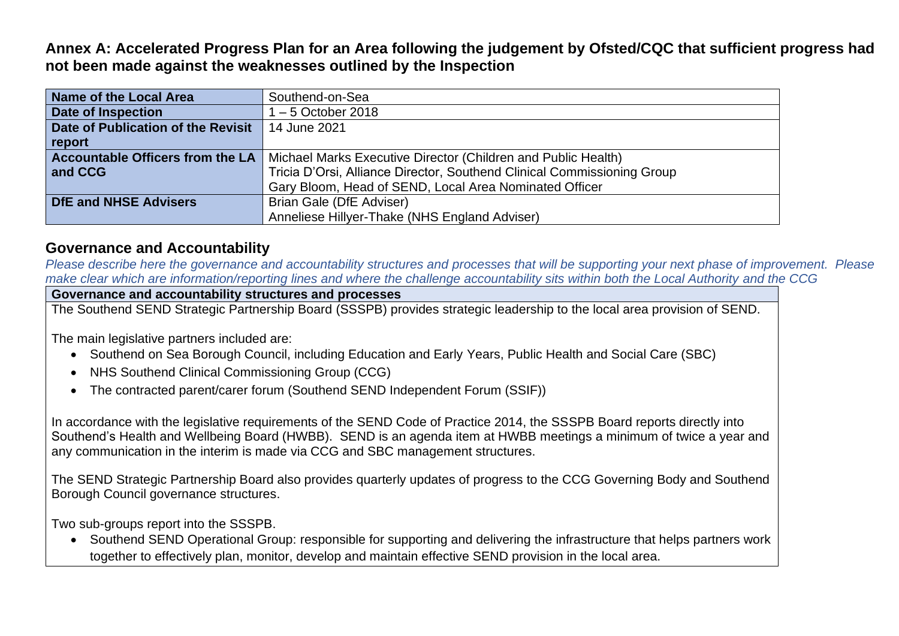**Annex A: Accelerated Progress Plan for an Area following the judgement by Ofsted/CQC that sufficient progress had not been made against the weaknesses outlined by the Inspection**

| <b>Name of the Local Area</b>           | Southend-on-Sea                                                         |
|-----------------------------------------|-------------------------------------------------------------------------|
| <b>Date of Inspection</b>               | $-5$ October 2018                                                       |
| Date of Publication of the Revisit      | 14 June 2021                                                            |
| report                                  |                                                                         |
| <b>Accountable Officers from the LA</b> | Michael Marks Executive Director (Children and Public Health)           |
| and CCG                                 | Tricia D'Orsi, Alliance Director, Southend Clinical Commissioning Group |
|                                         | Gary Bloom, Head of SEND, Local Area Nominated Officer                  |
| <b>DfE and NHSE Advisers</b>            | Brian Gale (DfE Adviser)                                                |
|                                         | Anneliese Hillyer-Thake (NHS England Adviser)                           |

### **Governance and Accountability**

*Please describe here the governance and accountability structures and processes that will be supporting your next phase of improvement. Please make clear which are information/reporting lines and where the challenge accountability sits within both the Local Authority and the CCG*

### **Governance and accountability structures and processes**

The Southend SEND Strategic Partnership Board (SSSPB) provides strategic leadership to the local area provision of SEND.

The main legislative partners included are:

- Southend on Sea Borough Council, including Education and Early Years, Public Health and Social Care (SBC)
- NHS Southend Clinical Commissioning Group (CCG)
- The contracted parent/carer forum (Southend SEND Independent Forum (SSIF))

In accordance with the legislative requirements of the SEND Code of Practice 2014, the SSSPB Board reports directly into Southend's Health and Wellbeing Board (HWBB). SEND is an agenda item at HWBB meetings a minimum of twice a year and any communication in the interim is made via CCG and SBC management structures.

The SEND Strategic Partnership Board also provides quarterly updates of progress to the CCG Governing Body and Southend Borough Council governance structures.

Two sub-groups report into the SSSPB.

• Southend SEND Operational Group: responsible for supporting and delivering the infrastructure that helps partners work together to effectively plan, monitor, develop and maintain effective SEND provision in the local area.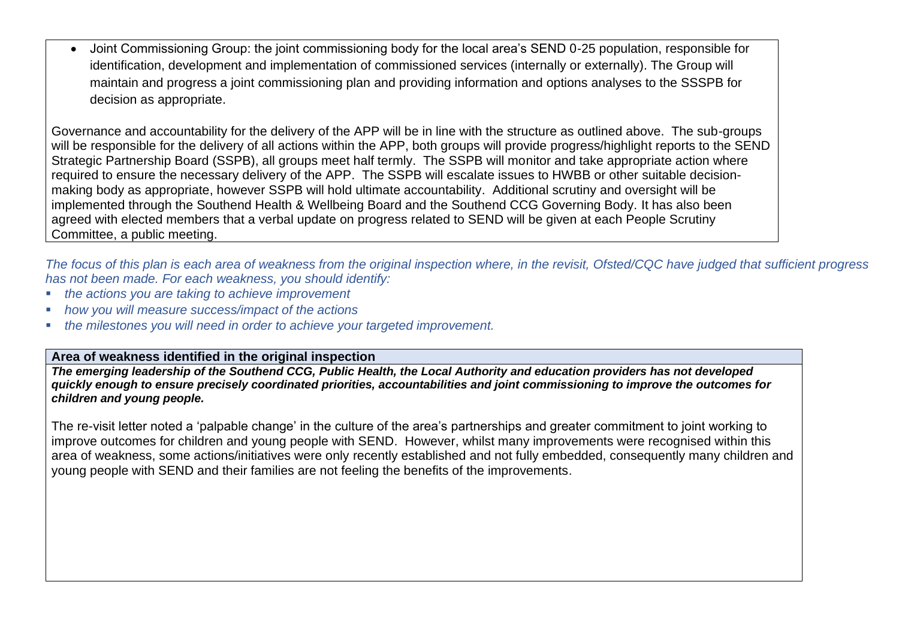• Joint Commissioning Group: the joint commissioning body for the local area's SEND 0-25 population, responsible for identification, development and implementation of commissioned services (internally or externally). The Group will maintain and progress a joint commissioning plan and providing information and options analyses to the SSSPB for decision as appropriate.

Governance and accountability for the delivery of the APP will be in line with the structure as outlined above. The sub-groups will be responsible for the delivery of all actions within the APP, both groups will provide progress/highlight reports to the SEND Strategic Partnership Board (SSPB), all groups meet half termly. The SSPB will monitor and take appropriate action where required to ensure the necessary delivery of the APP. The SSPB will escalate issues to HWBB or other suitable decisionmaking body as appropriate, however SSPB will hold ultimate accountability. Additional scrutiny and oversight will be implemented through the Southend Health & Wellbeing Board and the Southend CCG Governing Body. It has also been agreed with elected members that a verbal update on progress related to SEND will be given at each People Scrutiny Committee, a public meeting.

*The focus of this plan is each area of weakness from the original inspection where, in the revisit, Ofsted/CQC have judged that sufficient progress has not been made. For each weakness, you should identify:*

- the actions you are taking to achieve improvement
- how you will measure success/impact of the actions
- the milestones you will need in order to achieve your targeted improvement.

#### **Area of weakness identified in the original inspection**

*The emerging leadership of the Southend CCG, Public Health, the Local Authority and education providers has not developed quickly enough to ensure precisely coordinated priorities, accountabilities and joint commissioning to improve the outcomes for children and young people.*

The re-visit letter noted a 'palpable change' in the culture of the area's partnerships and greater commitment to joint working to improve outcomes for children and young people with SEND. However, whilst many improvements were recognised within this area of weakness, some actions/initiatives were only recently established and not fully embedded, consequently many children and young people with SEND and their families are not feeling the benefits of the improvements.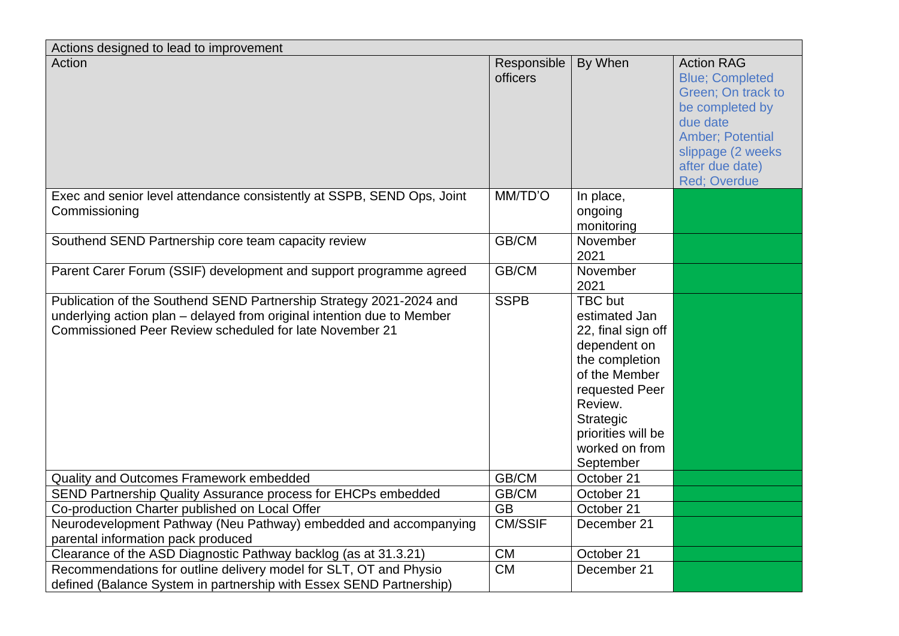| Actions designed to lead to improvement                                                                                                                                                                  |                         |                                                                                                                                                                                                         |                                                                                                                                                                                        |
|----------------------------------------------------------------------------------------------------------------------------------------------------------------------------------------------------------|-------------------------|---------------------------------------------------------------------------------------------------------------------------------------------------------------------------------------------------------|----------------------------------------------------------------------------------------------------------------------------------------------------------------------------------------|
| Action                                                                                                                                                                                                   | Responsible<br>officers | By When                                                                                                                                                                                                 | <b>Action RAG</b><br><b>Blue</b> ; Completed<br>Green; On track to<br>be completed by<br>due date<br><b>Amber</b> ; Potential<br>slippage (2 weeks)<br>after due date)<br>Red; Overdue |
| Exec and senior level attendance consistently at SSPB, SEND Ops, Joint<br>Commissioning                                                                                                                  | MM/TD'O                 | In place,<br>ongoing<br>monitoring                                                                                                                                                                      |                                                                                                                                                                                        |
| Southend SEND Partnership core team capacity review                                                                                                                                                      | GB/CM                   | November<br>2021                                                                                                                                                                                        |                                                                                                                                                                                        |
| Parent Carer Forum (SSIF) development and support programme agreed                                                                                                                                       | GB/CM                   | November<br>2021                                                                                                                                                                                        |                                                                                                                                                                                        |
| Publication of the Southend SEND Partnership Strategy 2021-2024 and<br>underlying action plan - delayed from original intention due to Member<br>Commissioned Peer Review scheduled for late November 21 | <b>SSPB</b>             | <b>TBC</b> but<br>estimated Jan<br>22, final sign off<br>dependent on<br>the completion<br>of the Member<br>requested Peer<br>Review.<br>Strategic<br>priorities will be<br>worked on from<br>September |                                                                                                                                                                                        |
| Quality and Outcomes Framework embedded                                                                                                                                                                  | GB/CM                   | October 21                                                                                                                                                                                              |                                                                                                                                                                                        |
| SEND Partnership Quality Assurance process for EHCPs embedded                                                                                                                                            | GB/CM                   | October 21                                                                                                                                                                                              |                                                                                                                                                                                        |
| Co-production Charter published on Local Offer                                                                                                                                                           | <b>GB</b>               | October 21                                                                                                                                                                                              |                                                                                                                                                                                        |
| Neurodevelopment Pathway (Neu Pathway) embedded and accompanying<br>parental information pack produced                                                                                                   | <b>CM/SSIF</b>          | December 21                                                                                                                                                                                             |                                                                                                                                                                                        |
| Clearance of the ASD Diagnostic Pathway backlog (as at 31.3.21)                                                                                                                                          | <b>CM</b>               | October 21                                                                                                                                                                                              |                                                                                                                                                                                        |
| Recommendations for outline delivery model for SLT, OT and Physio<br>defined (Balance System in partnership with Essex SEND Partnership)                                                                 | <b>CM</b>               | December 21                                                                                                                                                                                             |                                                                                                                                                                                        |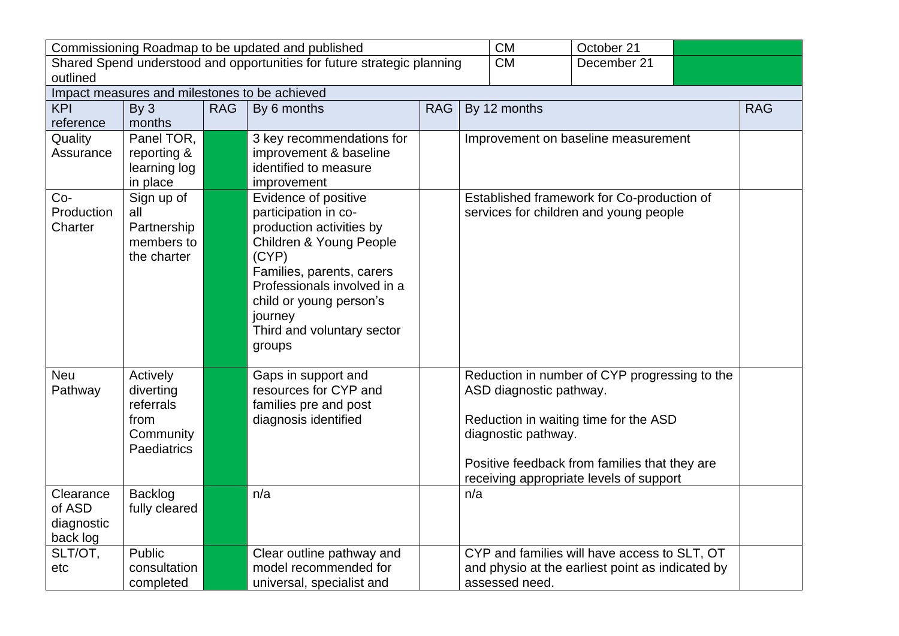|                                               | Commissioning Roadmap to be updated and published                       | <b>CM</b>  | October 21                                                                                                                                                                                                                                                                                                                                     |     |                                                |                                                                                                                                                                                    |             |  |  |
|-----------------------------------------------|-------------------------------------------------------------------------|------------|------------------------------------------------------------------------------------------------------------------------------------------------------------------------------------------------------------------------------------------------------------------------------------------------------------------------------------------------|-----|------------------------------------------------|------------------------------------------------------------------------------------------------------------------------------------------------------------------------------------|-------------|--|--|
| outlined                                      | Shared Spend understood and opportunities for future strategic planning |            |                                                                                                                                                                                                                                                                                                                                                |     |                                                |                                                                                                                                                                                    | December 21 |  |  |
|                                               |                                                                         |            | Impact measures and milestones to be achieved                                                                                                                                                                                                                                                                                                  |     |                                                |                                                                                                                                                                                    |             |  |  |
| <b>KPI</b><br>reference                       | By <sub>3</sub><br>months                                               | <b>RAG</b> | By 6 months                                                                                                                                                                                                                                                                                                                                    | RAG |                                                | By 12 months                                                                                                                                                                       |             |  |  |
| Quality<br>Assurance                          | Panel TOR,<br>reporting &<br>learning log<br>in place                   |            | 3 key recommendations for<br>Improvement on baseline measurement<br>improvement & baseline<br>identified to measure<br>improvement                                                                                                                                                                                                             |     |                                                |                                                                                                                                                                                    |             |  |  |
| $Co-$<br>Production<br>Charter                | Sign up of<br>all<br>Partnership<br>members to<br>the charter           |            | Evidence of positive<br>Established framework for Co-production of<br>services for children and young people<br>participation in co-<br>production activities by<br>Children & Young People<br>(CYP)<br>Families, parents, carers<br>Professionals involved in a<br>child or young person's<br>journey<br>Third and voluntary sector<br>groups |     |                                                |                                                                                                                                                                                    |             |  |  |
| <b>Neu</b><br>Pathway                         | Actively<br>diverting<br>referrals<br>from<br>Community<br>Paediatrics  |            | Gaps in support and<br>resources for CYP and<br>families pre and post<br>diagnosis identified                                                                                                                                                                                                                                                  |     | ASD diagnostic pathway.<br>diagnostic pathway. | Reduction in number of CYP progressing to the<br>Reduction in waiting time for the ASD<br>Positive feedback from families that they are<br>receiving appropriate levels of support |             |  |  |
| Clearance<br>of ASD<br>diagnostic<br>back log | Backlog<br>fully cleared                                                |            | n/a                                                                                                                                                                                                                                                                                                                                            |     | n/a                                            |                                                                                                                                                                                    |             |  |  |
| SLT/OT,<br>etc                                | Public<br>consultation<br>completed                                     |            | CYP and families will have access to SLT, OT<br>Clear outline pathway and<br>model recommended for<br>and physio at the earliest point as indicated by<br>universal, specialist and<br>assessed need.                                                                                                                                          |     |                                                |                                                                                                                                                                                    |             |  |  |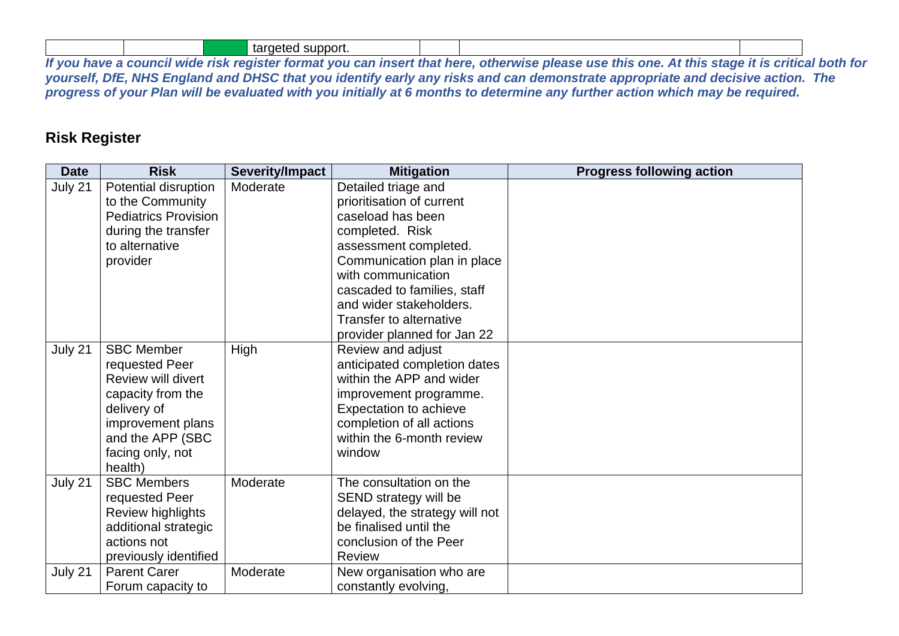|  | .<br><br> |  |  |  |
|--|-----------|--|--|--|
|  |           |  |  |  |

*If you have a council wide risk register format you can insert that here, otherwise please use this one. At this stage it is critical both for yourself, DfE, NHS England and DHSC that you identify early any risks and can demonstrate appropriate and decisive action. The progress of your Plan will be evaluated with you initially at 6 months to determine any further action which may be required.*

# **Risk Register**

| <b>Date</b> | <b>Risk</b>                                                                                                                                                           | Severity/Impact | <b>Mitigation</b>                                                                                                                                                                                                                                                                                 | <b>Progress following action</b> |
|-------------|-----------------------------------------------------------------------------------------------------------------------------------------------------------------------|-----------------|---------------------------------------------------------------------------------------------------------------------------------------------------------------------------------------------------------------------------------------------------------------------------------------------------|----------------------------------|
| July 21     | Potential disruption<br>to the Community<br><b>Pediatrics Provision</b><br>during the transfer<br>to alternative<br>provider                                          | Moderate        | Detailed triage and<br>prioritisation of current<br>caseload has been<br>completed. Risk<br>assessment completed.<br>Communication plan in place<br>with communication<br>cascaded to families, staff<br>and wider stakeholders.<br><b>Transfer to alternative</b><br>provider planned for Jan 22 |                                  |
| July 21     | <b>SBC Member</b><br>requested Peer<br>Review will divert<br>capacity from the<br>delivery of<br>improvement plans<br>and the APP (SBC<br>facing only, not<br>health) | High            | Review and adjust<br>anticipated completion dates<br>within the APP and wider<br>improvement programme.<br><b>Expectation to achieve</b><br>completion of all actions<br>within the 6-month review<br>window                                                                                      |                                  |
| July 21     | <b>SBC Members</b><br>requested Peer<br>Review highlights<br>additional strategic<br>actions not<br>previously identified                                             | Moderate        | The consultation on the<br>SEND strategy will be<br>delayed, the strategy will not<br>be finalised until the<br>conclusion of the Peer<br><b>Review</b>                                                                                                                                           |                                  |
| July 21     | <b>Parent Carer</b><br>Forum capacity to                                                                                                                              | Moderate        | New organisation who are<br>constantly evolving,                                                                                                                                                                                                                                                  |                                  |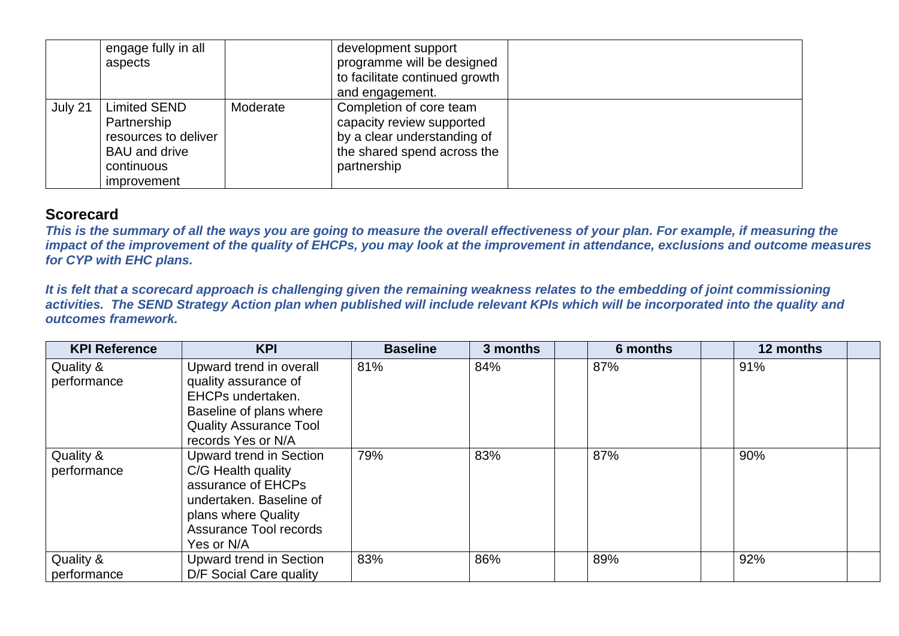|         | engage fully in all<br>aspects                                                                                         |          | development support<br>programme will be designed<br>to facilitate continued growth<br>and engagement.                            |  |
|---------|------------------------------------------------------------------------------------------------------------------------|----------|-----------------------------------------------------------------------------------------------------------------------------------|--|
| July 21 | <b>Limited SEND</b><br>Partnership<br>resources to deliver<br><b>BAU</b> and drive<br>continuous<br><i>improvement</i> | Moderate | Completion of core team<br>capacity review supported<br>by a clear understanding of<br>the shared spend across the<br>partnership |  |

## **Scorecard**

*This is the summary of all the ways you are going to measure the overall effectiveness of your plan. For example, if measuring the impact of the improvement of the quality of EHCPs, you may look at the improvement in attendance, exclusions and outcome measures for CYP with EHC plans.*

*It is felt that a scorecard approach is challenging given the remaining weakness relates to the embedding of joint commissioning activities. The SEND Strategy Action plan when published will include relevant KPIs which will be incorporated into the quality and outcomes framework.*

| <b>KPI Reference</b>     | <b>KPI</b>                                                                                                                                                           | <b>Baseline</b> | 3 months | 6 months | 12 months |  |
|--------------------------|----------------------------------------------------------------------------------------------------------------------------------------------------------------------|-----------------|----------|----------|-----------|--|
| Quality &<br>performance | Upward trend in overall<br>quality assurance of<br>EHCPs undertaken.<br>Baseline of plans where<br><b>Quality Assurance Tool</b><br>records Yes or N/A               | 81%             | 84%      | 87%      | 91%       |  |
| Quality &<br>performance | Upward trend in Section<br>C/G Health quality<br>assurance of EHCPs<br>undertaken. Baseline of<br>plans where Quality<br><b>Assurance Tool records</b><br>Yes or N/A | 79%             | 83%      | 87%      | 90%       |  |
| Quality &<br>performance | <b>Upward trend in Section</b><br>D/F Social Care quality                                                                                                            | 83%             | 86%      | 89%      | 92%       |  |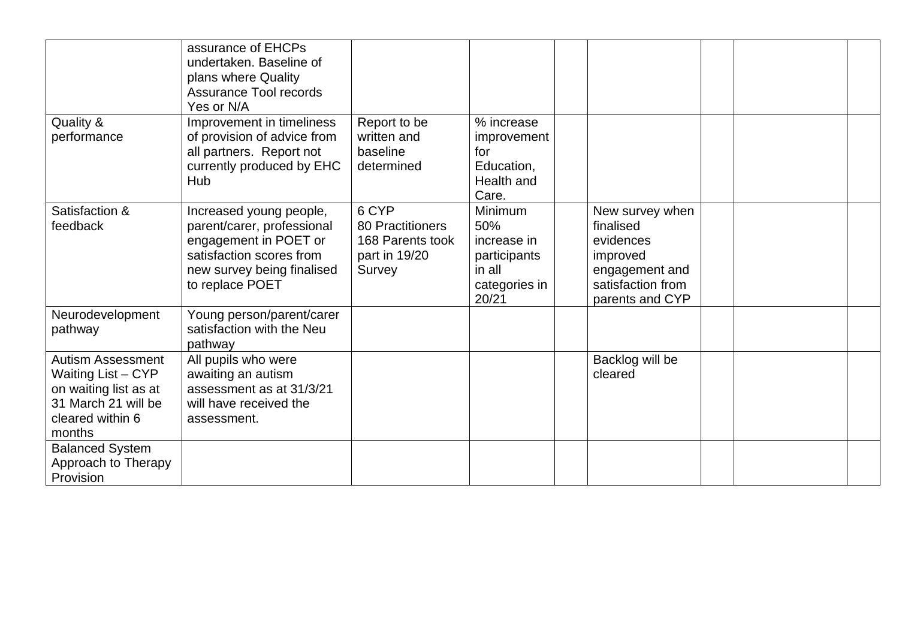|                                                                                                                              | assurance of EHCPs<br>undertaken. Baseline of<br>plans where Quality<br><b>Assurance Tool records</b><br>Yes or N/A                                         |                                                                          |                                                                                   |                                                                                                                 |  |  |
|------------------------------------------------------------------------------------------------------------------------------|-------------------------------------------------------------------------------------------------------------------------------------------------------------|--------------------------------------------------------------------------|-----------------------------------------------------------------------------------|-----------------------------------------------------------------------------------------------------------------|--|--|
| Quality &<br>performance                                                                                                     | Improvement in timeliness<br>of provision of advice from<br>all partners. Report not<br>currently produced by EHC<br>Hub                                    | Report to be<br>written and<br>baseline<br>determined                    | % increase<br>improvement<br>for<br>Education,<br>Health and<br>Care.             |                                                                                                                 |  |  |
| Satisfaction &<br>feedback                                                                                                   | Increased young people,<br>parent/carer, professional<br>engagement in POET or<br>satisfaction scores from<br>new survey being finalised<br>to replace POET | 6 CYP<br>80 Practitioners<br>168 Parents took<br>part in 19/20<br>Survey | Minimum<br>50%<br>increase in<br>participants<br>in all<br>categories in<br>20/21 | New survey when<br>finalised<br>evidences<br>improved<br>engagement and<br>satisfaction from<br>parents and CYP |  |  |
| Neurodevelopment<br>pathway                                                                                                  | Young person/parent/carer<br>satisfaction with the Neu<br>pathway                                                                                           |                                                                          |                                                                                   |                                                                                                                 |  |  |
| <b>Autism Assessment</b><br>Waiting List - CYP<br>on waiting list as at<br>31 March 21 will be<br>cleared within 6<br>months | All pupils who were<br>awaiting an autism<br>assessment as at 31/3/21<br>will have received the<br>assessment.                                              |                                                                          |                                                                                   | Backlog will be<br>cleared                                                                                      |  |  |
| <b>Balanced System</b><br>Approach to Therapy<br>Provision                                                                   |                                                                                                                                                             |                                                                          |                                                                                   |                                                                                                                 |  |  |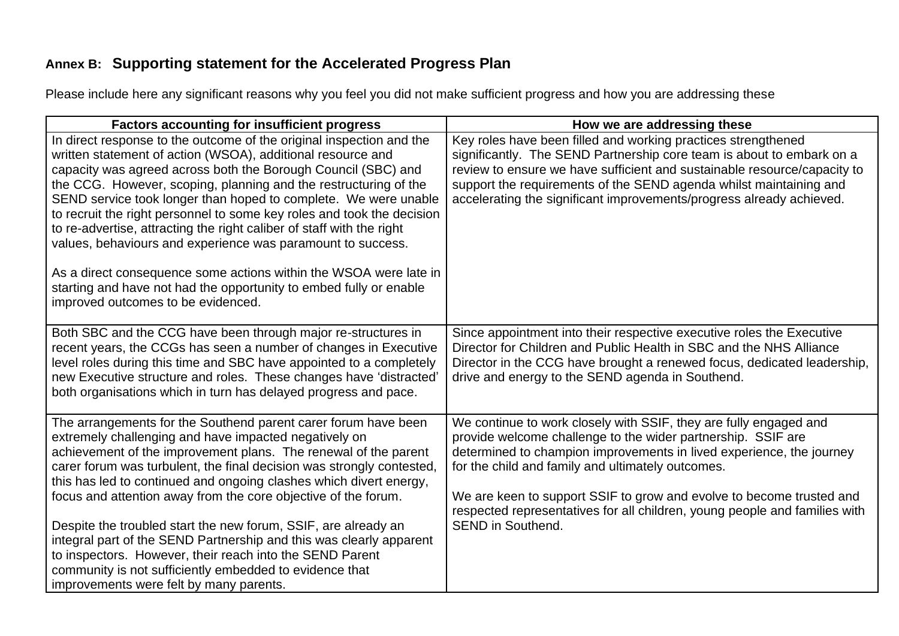# **Annex B: Supporting statement for the Accelerated Progress Plan**

Please include here any significant reasons why you feel you did not make sufficient progress and how you are addressing these

| <b>Factors accounting for insufficient progress</b>                                                                                                                                                                                                                                                                                                                                                                                                                                                                                                                                                                                                                                                                                            | How we are addressing these                                                                                                                                                                                                                                                                                                                                                                                                                      |
|------------------------------------------------------------------------------------------------------------------------------------------------------------------------------------------------------------------------------------------------------------------------------------------------------------------------------------------------------------------------------------------------------------------------------------------------------------------------------------------------------------------------------------------------------------------------------------------------------------------------------------------------------------------------------------------------------------------------------------------------|--------------------------------------------------------------------------------------------------------------------------------------------------------------------------------------------------------------------------------------------------------------------------------------------------------------------------------------------------------------------------------------------------------------------------------------------------|
| In direct response to the outcome of the original inspection and the<br>written statement of action (WSOA), additional resource and<br>capacity was agreed across both the Borough Council (SBC) and<br>the CCG. However, scoping, planning and the restructuring of the<br>SEND service took longer than hoped to complete. We were unable<br>to recruit the right personnel to some key roles and took the decision<br>to re-advertise, attracting the right caliber of staff with the right<br>values, behaviours and experience was paramount to success.<br>As a direct consequence some actions within the WSOA were late in<br>starting and have not had the opportunity to embed fully or enable<br>improved outcomes to be evidenced. | Key roles have been filled and working practices strengthened<br>significantly. The SEND Partnership core team is about to embark on a<br>review to ensure we have sufficient and sustainable resource/capacity to<br>support the requirements of the SEND agenda whilst maintaining and<br>accelerating the significant improvements/progress already achieved.                                                                                 |
| Both SBC and the CCG have been through major re-structures in<br>recent years, the CCGs has seen a number of changes in Executive<br>level roles during this time and SBC have appointed to a completely<br>new Executive structure and roles. These changes have 'distracted'<br>both organisations which in turn has delayed progress and pace.                                                                                                                                                                                                                                                                                                                                                                                              | Since appointment into their respective executive roles the Executive<br>Director for Children and Public Health in SBC and the NHS Alliance<br>Director in the CCG have brought a renewed focus, dedicated leadership,<br>drive and energy to the SEND agenda in Southend.                                                                                                                                                                      |
| The arrangements for the Southend parent carer forum have been<br>extremely challenging and have impacted negatively on<br>achievement of the improvement plans. The renewal of the parent<br>carer forum was turbulent, the final decision was strongly contested,<br>this has led to continued and ongoing clashes which divert energy,<br>focus and attention away from the core objective of the forum.<br>Despite the troubled start the new forum, SSIF, are already an<br>integral part of the SEND Partnership and this was clearly apparent<br>to inspectors. However, their reach into the SEND Parent<br>community is not sufficiently embedded to evidence that<br>improvements were felt by many parents.                         | We continue to work closely with SSIF, they are fully engaged and<br>provide welcome challenge to the wider partnership. SSIF are<br>determined to champion improvements in lived experience, the journey<br>for the child and family and ultimately outcomes.<br>We are keen to support SSIF to grow and evolve to become trusted and<br>respected representatives for all children, young people and families with<br><b>SEND in Southend.</b> |